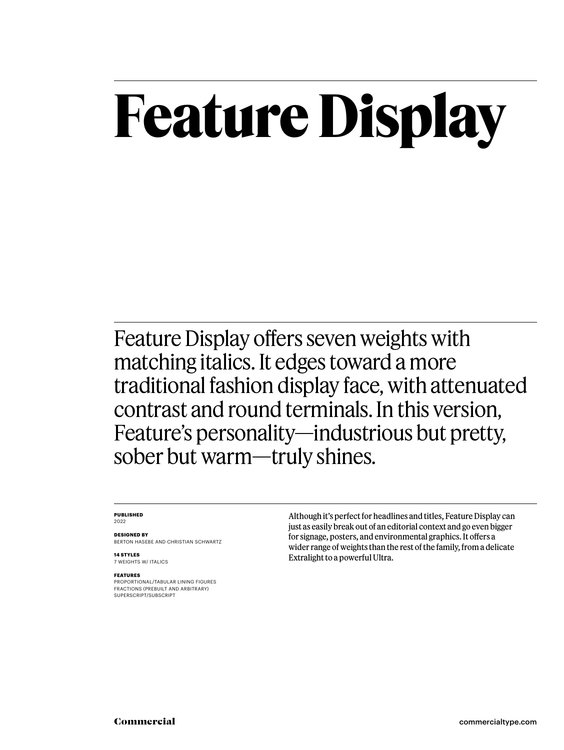### **Feature Display**

Feature Display offers seven weights with matching italics. It edges toward a more traditional fashion display face, with attenuated contrast and round terminals. In this version, Feature's personality—industrious but pretty, sober but warm—truly shines.

#### **PUBLISHED** 2022

**DESIGNED BY** BERTON HASEBE AND CHRISTIAN SCHWARTZ

**14 STYLES** 7 WEIGHTS W/ ITALICS

**FEATURES**

PROPORTIONAL/TABULAR LINING FIGURES FRACTIONS (PREBUILT AND ARBITRARY) SUPERSCRIPT/SUBSCRIPT

Although it's perfect for headlines and titles, Feature Display can just as easily break out of an editorial context and go even bigger for signage, posters, and environmental graphics. It offers a wider range of weights than the rest of the family, from a delicate Extralight to a powerful Ultra.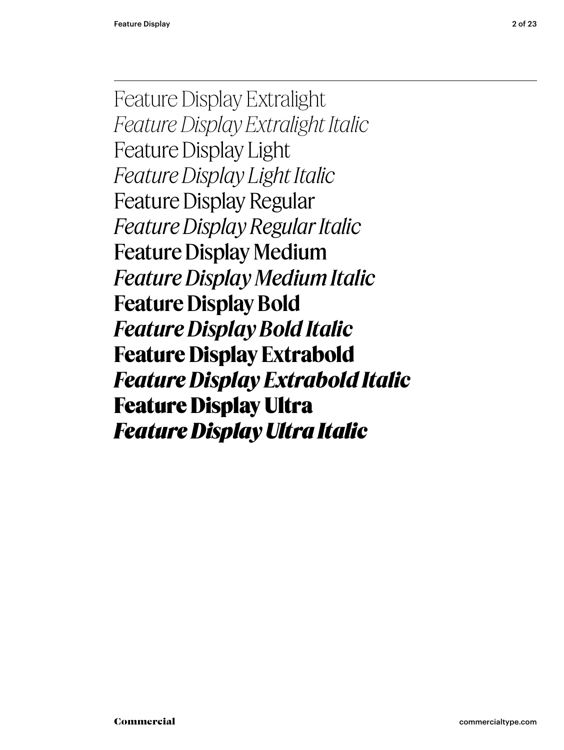Feature Display Extralight *Feature Display Extralight Italic* Feature Display Light *Feature Display Light Italic* Feature Display Regular *Feature Display Regular Italic* Feature Display Medium *Feature Display Medium Italic* **Feature Display Bold** *Feature Display Bold Italic* **Feature Display Extrabold** *Feature Display Extrabold Italic* Feature Display Ultra *Feature Display Ultra Italic*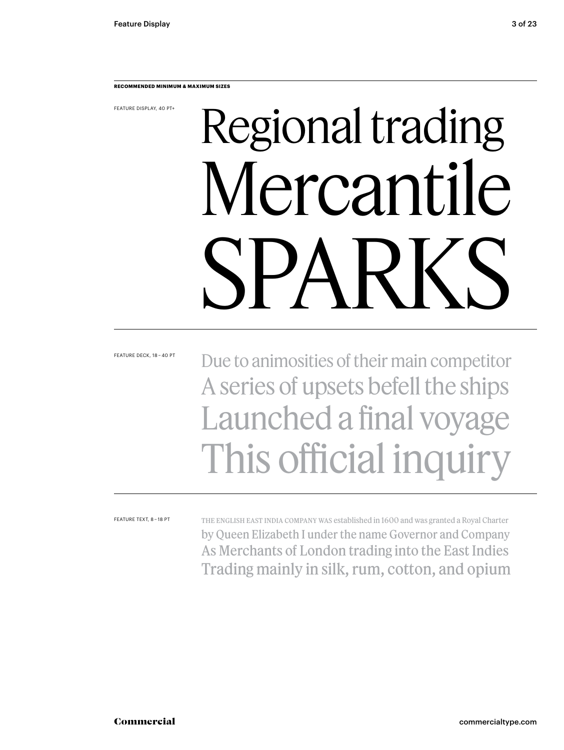**RECOMMENDED MINIMUM & MAXIMUM SIZES**

FEATURE DISPLAY, 40 PT+

## Regional trading Mercantile SPARKS

FEATURE DECK, 18 – 40 PT

#### Due to animosities of their main competitor A series of upsets befell the ships Launched a final voyage This official inquiry

FEATURE TEXT, 8 – 18 PT

The English East India Company was established in 1600 and was granted a Royal Charter by Queen Elizabeth I under the name Governor and Company As Merchants of London trading into the East Indies Trading mainly in silk, rum, cotton, and opium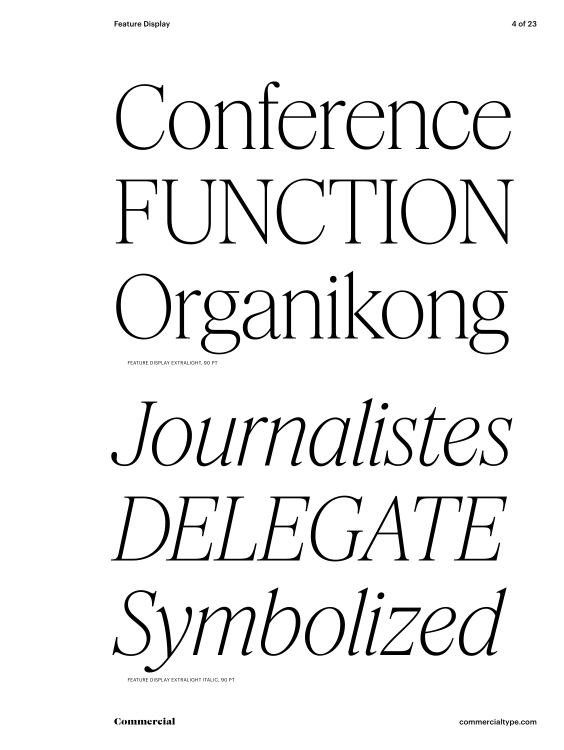## Conference FUNCTION Organikong FEATURE DISPLAY EXTRALIGHT, 90 P



FEATURE DISPLAY EXTRALIGHT ITALIC, 90 PT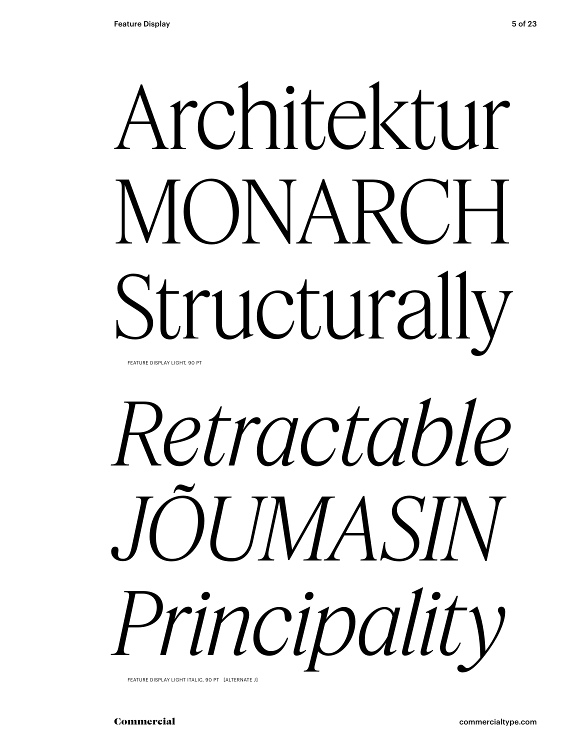## Architektur MONARCH Structurally FEATURE DISPLAY LIGHT, 90 PT

# *Retractable JÕUMASIN Principality*

FEATURE DISPLAY LIGHT ITALIC, 90 PT [ALTERNATE J]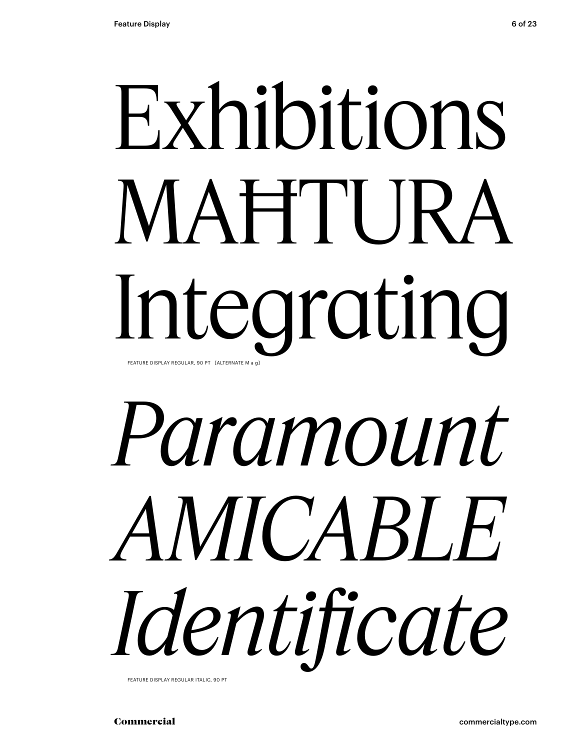## Exhibitions MAĦTURA Integrating FEATURE DISPLAY REGULAR, 90 PT [ALTERNATE M a g]

# *Paramount AMICABLE Identificate*

FEATURE DISPLAY REGULAR ITALIC, 90 PT

Commercial commercialtype.com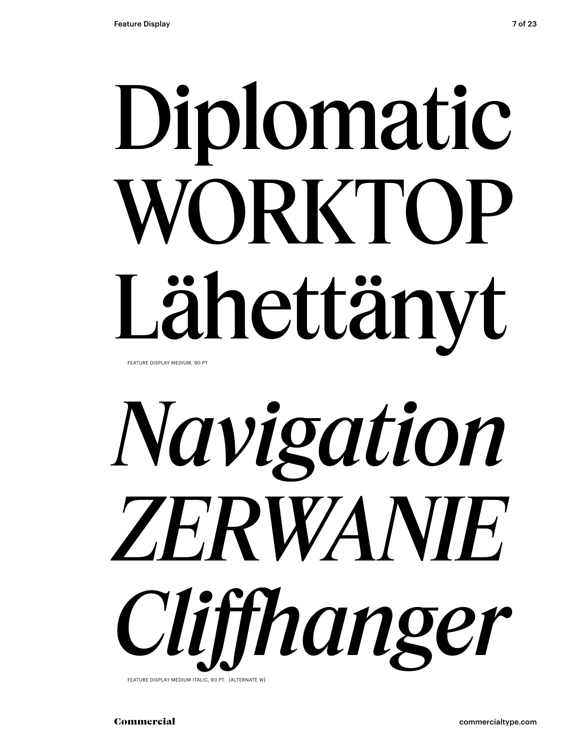# Diplomatic WORKTOP Lähettänyt

FEATURE DISPLAY MEDIUM, 90 PT



FEATURE DISPLAY MEDIUM ITALIC, 90 PT [ALTERNATE W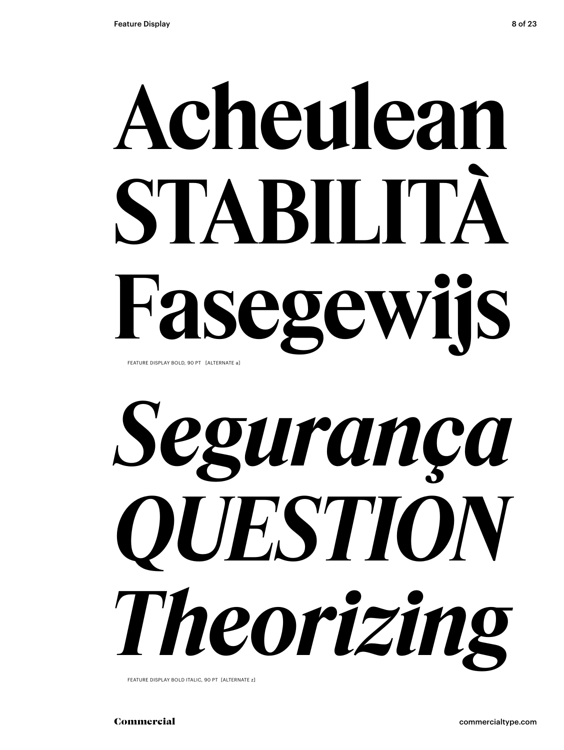## **Acheulean STABILITÀ Fasegewijs** FEATURE DISPLAY BOLD, 90 PT [ALTERNATE a]



FEATURE DISPLAY BOLD ITALIC, 90 PT [ALTERNATE z]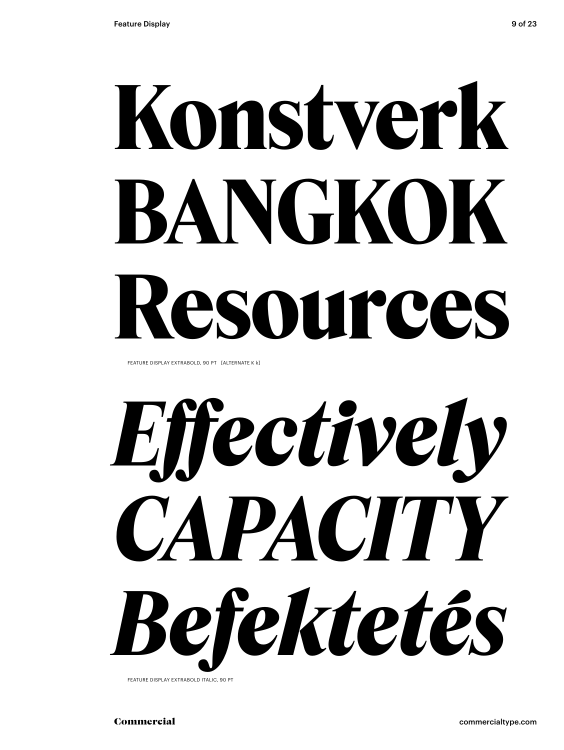# **Konstverk BANGKOK Resources**

FEATURE DISPLAY EXTRABOLD, 90 PT [ALTERNATE K k]

*Effectively CAPACITY Befektetés*

FEATURE DISPLAY EXTRABOLD ITALIC, 90 PT

Commercial commercialtype.com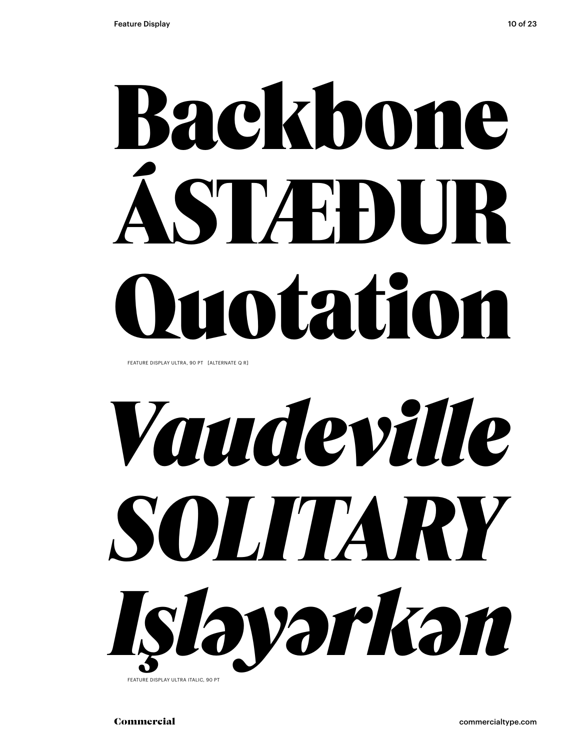# Backbone ÁSTÆÐUR Quotation

FEATURE DISPLAY ULTRA, 90 PT [ALTERNATE Q R]



FEATURE DISPLAY ULTRA ITALIC, 90 PT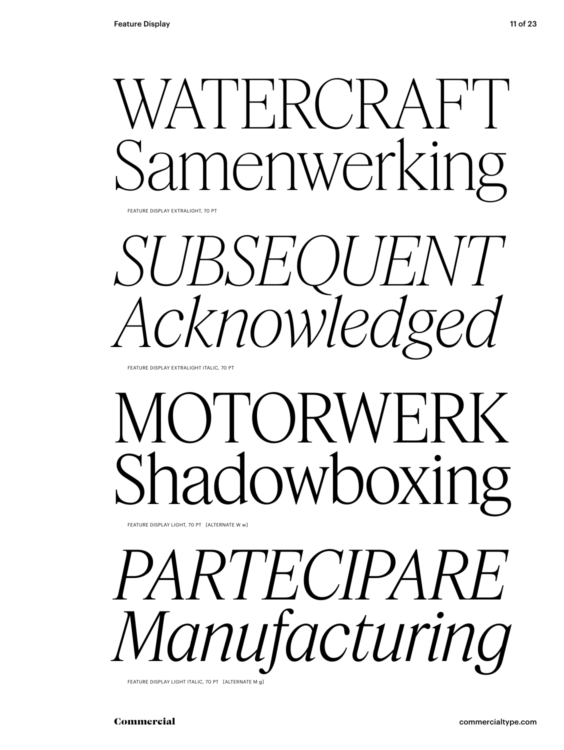### ATERCRAFT nenwerking

FEATURE DISPLAY EXTRALIGHT, 70 PT

SUBSEQUENT *Acknowledged*

FEATURE DISPLAY EXTRALIGHT ITALIC, 70 PT

### OTORWE adowboxing

FEATURE DISPLAY LIGHT, 70 PT [ALTERNATE W w]

*PARTECIPARE Manufacturing* FEATURE DISPLAY LIGHT ITALIC, 70 PT [ALTERNATE M g]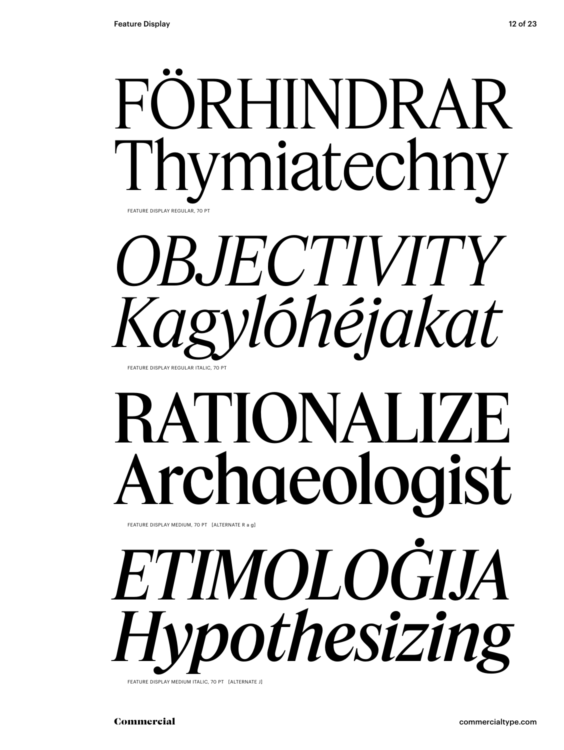



### RATIONALIZE Archaeologist

FEATURE DISPLAY MEDIUM, 70 PT [ALTERNATE R a g]

*ETIMOLOĠIJA Hypothesizing* FEATURE DISPLAY MEDIUM ITALIC, 70 PT [ALTERNATE J]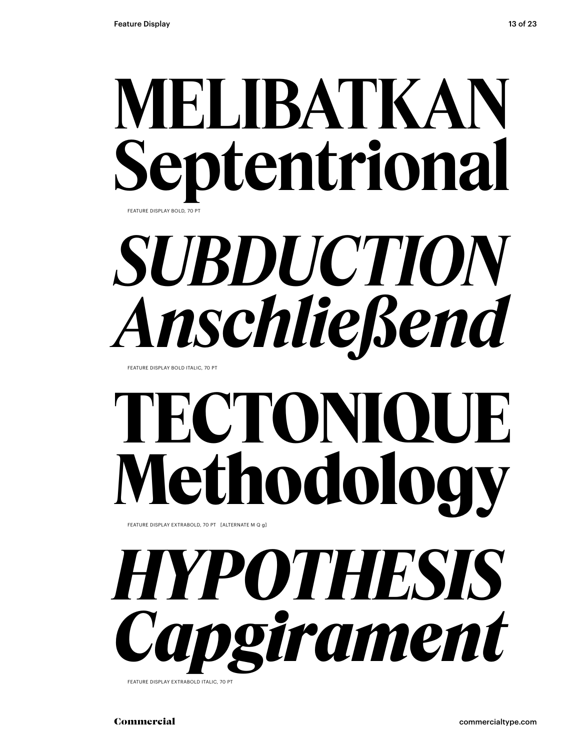#### **MELIBATKAN Septentrional** FEATURE DISPLAY BOLD, 70 PT

*SUBDUCTION Anschließend*

FEATURE DISPLAY BOLD ITALIC, 70 PT

### **TECTONIQUE Methodology**

FEATURE DISPLAY EXTRABOLD, 70 PT [ALTERNATE M Q g]



FEATURE DISPLAY EXTRABOLD ITALIC, 70 PT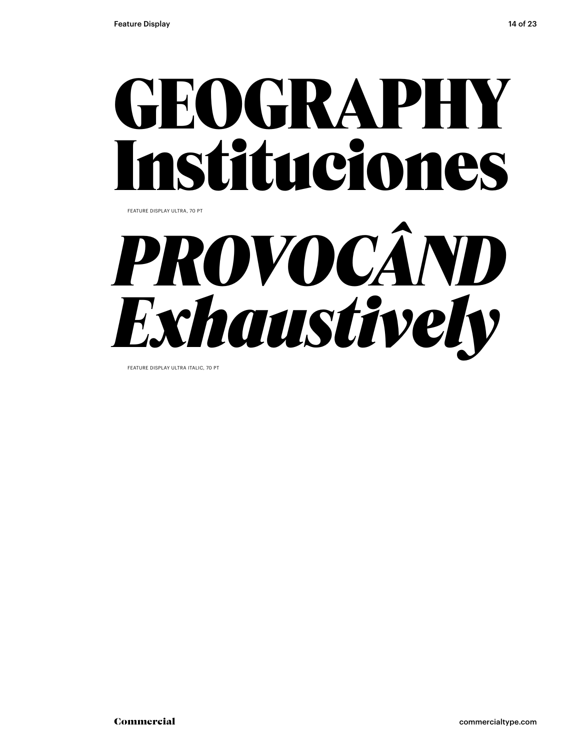### GEOGRAPHY Instituciones FEATURE DISPLAY ULTRA, 70 PT



FEATURE DISPLAY ULTRA ITALIC, 70 PT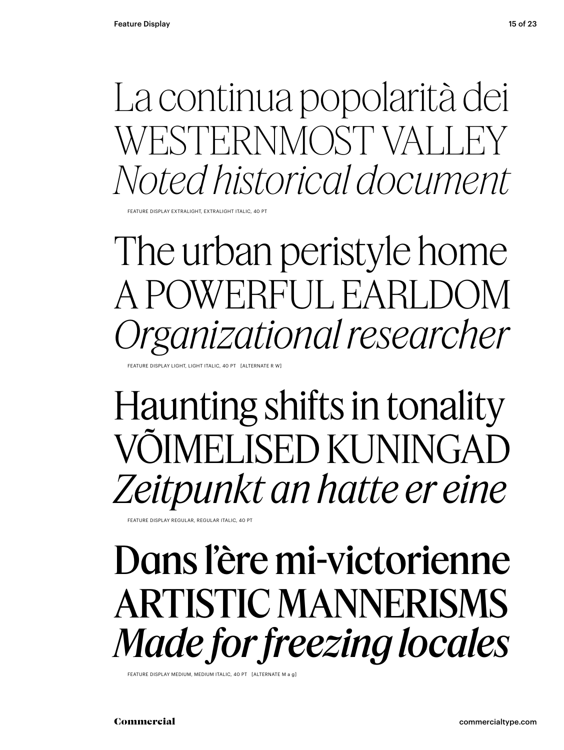La continua popolarità dei WESTERNMOST VALLEY *Noted historical document*

FEATURE DISPLAY EXTRALIGHT, EXTRALIGHT ITALIC, 40 PT

The urban peristyle home A POWERFUL EARLDOM *Organizational researcher*

FATURE DISPLAY LIGHT, LIGHT ITALIC, 40 PT. LALTERNATE

Haunting shifts in tonality VÕIMELISED KUNINGAD *Zeitpunkt an hatte er eine*

FEATURE DISPLAY REGULAR, REGULAR ITALIC, 40 PT

#### Dans l'ère mi-victorienne ARTISTIC MANNERISMS *Made for freezing locales*

FEATURE DISPLAY MEDIUM, MEDIUM ITALIC, 40 PT [ALTERNATE M a g]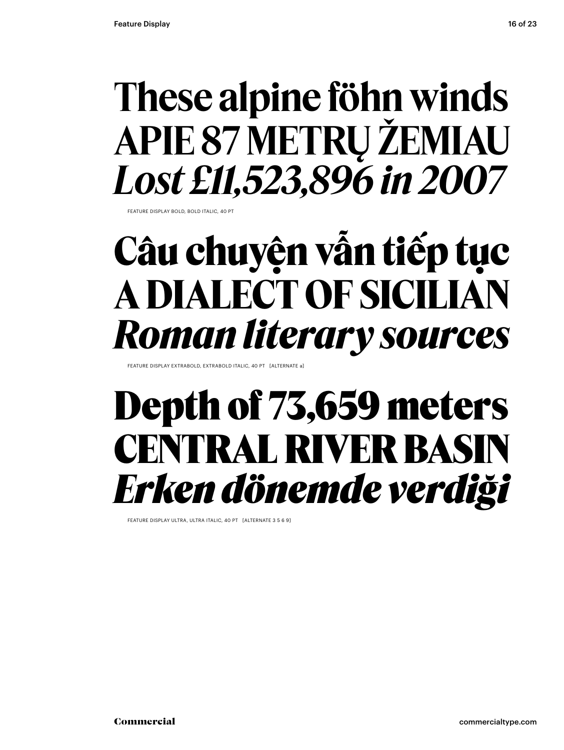#### **These alpine föhn winds APIE 87 METRŲ ŽEMIAU** *Lost £11,523,896 in 2007*

FEATURE DISPLAY BOLD, BOLD ITALIC, 40 PT

#### **Câu chuyện vẫn tiếp tục A DIALECT OF SICILIAN** *Roman literary sources*

FEATURE DISPLAY EXTRABOLD, EXTRABOLD ITALIC, 40 PT [ALTERNATE a

#### Depth of 73,659 meters CENTRAL RIVER BASIN *Erken dönemde verdiği*

FEATURE DISPLAY ULTRA, ULTRA ITALIC, 40 PT [ALTERNATE 3 5 6 9]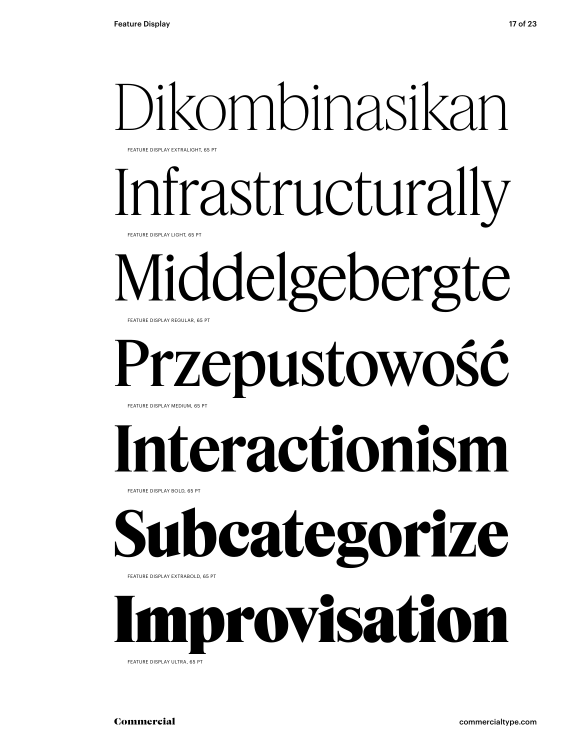## Dikombinasikan

FEATURE DISPLAY EXTRALIGHT, 65 PT

Infrastructurally EATURE DISPLAY LIGHT, 65 PT

Middelgebergte FEATURE DISPLAY REGULAR, 65 PT

#### Przepustowość FEATURE DISPLAY MEDIUM, 65 PT

## **Interactionism**

FEATURE DISPLAY BOLD, 65 PT

## **Subcategorize**

FEATURE DISPLAY EXTRABOLD, 65 PT

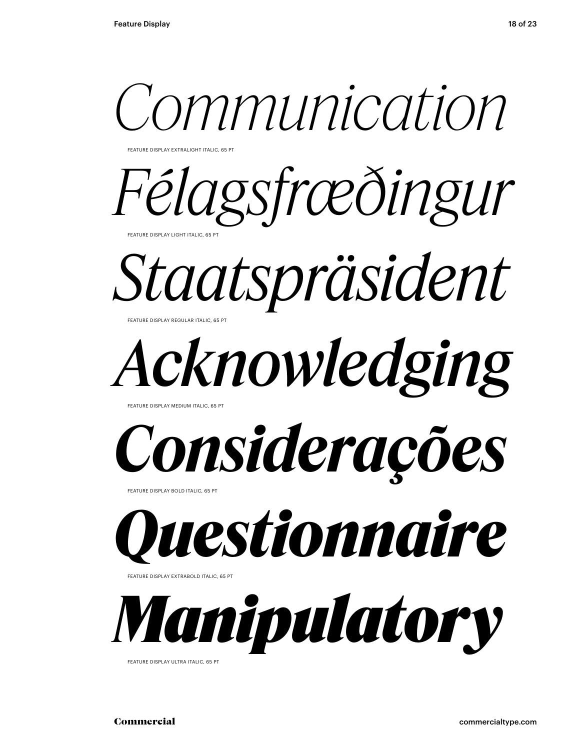

FEATURE DISPLAY EXTRALIGHT ITALIC, 65 PT

*Félagsfræðingur* FEATURE DISPLAY LIGHT ITALIC, 65 PT

*Staatspräsident*

*Acknowledging*

FEATURE DISPLAY MEDIUM ITALIC, 65

FEATURE DISPLAY REGULAR ITALIC, 65 PT

*Considerações*

FEATURE DISPLAY BOLD ITALIC, 65 PT



FEATURE DISPLAY EXTRABOLD ITALIC, 65 PT



FEATURE DISPLAY ULTRA ITALIC, 65 PT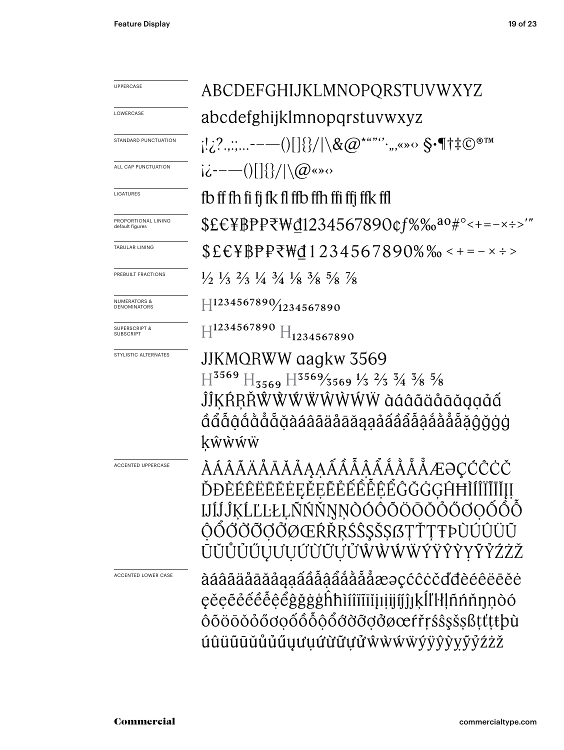| <b>UPPERCASE</b>                             | ABCDEFGHIJKLMNOPQRSTUVWXYZ                                                                                                                                                                                  |
|----------------------------------------------|-------------------------------------------------------------------------------------------------------------------------------------------------------------------------------------------------------------|
| LOWERCASE                                    | abcdefghijklmnopqrstuvwxyz                                                                                                                                                                                  |
| STANDARD PUNCTUATION                         | $[!_c?$ ,,;,,,,----()[]{}/ \&@*""'',,,«» $\diamond$ §•¶†‡©®™                                                                                                                                                |
| ALL CAP PUNCTUATION                          | $ \dot{\mathcal{L}}^{---}()   \{\}/  \backslash \mathcal{Q}$ «» $\circ$                                                                                                                                     |
| LIGATURES                                    | fb ff fh fi fi fk fl ffb ffh ffi ffi ffk ffl                                                                                                                                                                |
| PROPORTIONAL LINING<br>default figures       | \$£€¥BPP₹₩đ1234567890¢f%‰ <sup>ao</sup> #°<+=-×÷>'"                                                                                                                                                         |
| TABULAR LINING                               | $$E$$$ \{F}PP\\d1234567890%% < + = – × ÷ >                                                                                                                                                                  |
| PREBUILT FRACTIONS                           | $\frac{1}{2}$ $\frac{1}{3}$ $\frac{2}{3}$ $\frac{1}{4}$ $\frac{3}{4}$ $\frac{1}{8}$ $\frac{3}{8}$ $\frac{5}{8}$ $\frac{7}{8}$                                                                               |
| <b>NUMERATORS &amp;</b><br>DENOMINATORS      | $\left \right. \left. \left. \right  \left. 1234567890 \right/ \right  \left. 234567890 \right $                                                                                                            |
| <b>SUPERSCRIPT &amp;</b><br><b>SUBSCRIPT</b> | $H^{1234567890}$ $H_{1234567890}$                                                                                                                                                                           |
| STYLISTIC ALTERNATES                         | JJKMQRWW aagkw 3569<br>$H^{3569}$ $H_{3569}$ $H^{3569/3569}$ $\frac{1}{3}$ $\frac{2}{3}$ $\frac{3}{4}$ $\frac{3}{8}$ $\frac{5}{8}$<br>ĴĴKŔŖŘŴŴŴŴŴŴŴ àáâãäåāăąạåấ<br>ĜĜÕQŎŎŎŎŎŎŎŎŎŎŎŎŎŎŎŎŎŎŎŎŎŎŎŎŎŎ<br>kŵŵŵŵ |
| <b>ACCENTED UPPERCASE</b>                    | ÀÁÂÃÄÅÅĀĂÅĄĄÁÂÂÂÅÅÅÅÅÆƏCĆĈĊČ<br>ĎĐÈÉÊËĒĔĔĖĘĚEĔĚÉÊÊÊÊĜĞĠGĤĦÌ<br>IJĺĴĶĹĽĿŁĻÑŃŇŊŅÒÓÔŎÖŌŎŐŐŎQŐÔŎ<br>ŎŎŎŎŎŎŎŎØŒŔŘŖŚŜŞŠȘſĿŢŦÞÙÚÛÜŨ<br>ŪŬŮŮŰŲƯŲŰŨŨŬŰŴŴŴŴŶŸŶŶYŶŹŻŽ                                                  |
| ACCENTED LOWER CASE                          | àáâãäåāăåaaaẩâåååååååæəçćĉċčďđèéêëēĕė<br>ęěęẽė́ êė̃ ệ ẽ ĝğğgh hì fi fi fi ji ji ji ji k [] k [] hi n n n o ó<br>ôõöōŏőőơọốôỗộổớờỡợởøœŕřŗśŝşšşßṭťṭŧþù<br>úûüūūŭůűűyưuứừữựửŵẁẃẅýÿŷyỹýźżž                      |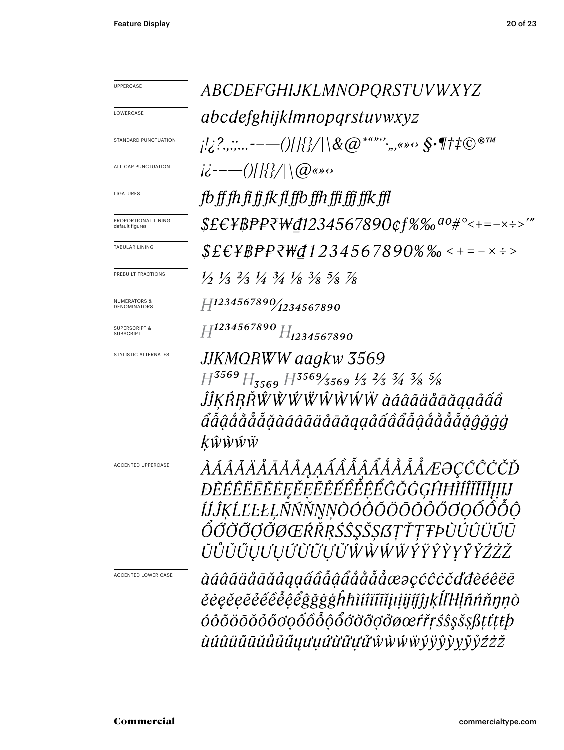| <b>UPPERCASE</b>                               | ABCDEFGHIJKLMNOPQRSTUVWXYZ                                                                                                                                                                                    |
|------------------------------------------------|---------------------------------------------------------------------------------------------------------------------------------------------------------------------------------------------------------------|
| LOWERCASE                                      | <i>abcdefghijklmnopqrstuvwxyz</i>                                                                                                                                                                             |
| STANDARD PUNCTUATION                           | $\mathcal{L}^{1,2,2,}_{\mathcal{L}}$ -----()[]{}/ \&@*"" $^{\circ}$ ;,,«» $\circ$ \$•¶†‡©®™                                                                                                                   |
| ALL CAP PUNCTUATION                            | $i\ddot{c}$ ----()[[{}/ \(@«» $\circ$                                                                                                                                                                         |
| LIGATURES                                      | fb ff fh fi fi fk fl ffb ffh ffi ffi ffk ffl                                                                                                                                                                  |
| PROPORTIONAL LINING<br>default figures         | $$EEYBP$ P\W@1234567890¢f%‰ <sup>ao</sup> #°<+=-×÷>'"                                                                                                                                                         |
| TABULAR LINING                                 | $$E\&F$ #BPP₹\d1234567890%‰ < + = – × ÷ >                                                                                                                                                                     |
| PREBUILT FRACTIONS                             | $\frac{1}{2}$ $\frac{1}{3}$ $\frac{2}{3}$ $\frac{1}{4}$ $\frac{3}{4}$ $\frac{1}{8}$ $\frac{3}{8}$ $\frac{5}{8}$ $\frac{7}{8}$                                                                                 |
| <b>NUMERATORS &amp;</b><br><b>DENOMINATORS</b> | $H$ 1234567890 $\gamma$ 1234567890                                                                                                                                                                            |
| <b>SUPERSCRIPT &amp;</b><br><b>SUBSCRIPT</b>   | $H^{1234567890}H_{1234567890}$                                                                                                                                                                                |
| STYLISTIC ALTERNATES                           | JJKMORWW aagkw 3569<br>$H^{3569}H_{3569}H^{3569}$ 3569 $\frac{1}{3}$ $\frac{2}{3}$ $\frac{3}{4}$ $\frac{3}{8}$ $\frac{5}{8}$<br>ĴĴĶŔŖŘŴŴŴŴŴŴŴŴ àáâãäåāăąạåấâ<br>áẫậắằẳẵẵặàáâãäåāāaqạảấâẩẫậắằẳẵẵãĝğġġ<br>kŵŵŵŵ |
| <b>ACCENTED UPPERCASE</b>                      | ÀÁÂÃÄÅÅĀÅÅĄĄÁÂÂÂÅÅÅÅÅÆƏÇĆĈĊČĎ<br>ĐÈÉÊËĒĔĔĖĘĚEĔĚÊÊÊÊÊĜĞĞGĤĦÌÍÎĬĨĬĮĮIJ<br>ÍĴĴĶĹĽĿŁĻÑŃŇŊŅÒÓÔÕÖŌŎŎŐŎQŐÔÕŎ<br>ŐŐŎŎŎŎŎŒŔŘŖŚŜŞŠȘſŦŤŢŦÞÙÚÛÜŨŪ<br>ŬŮŮŰŲŬŲŰŨŨŨŮŴŴŴŴŶŸŶŶYŶŽŹŽ                                            |
| <b>ACCENTED LOWER CASE</b>                     | àáâãäåāāăáaaáââåâåååååæəçćĉċčďđèéêëē<br>ĕėęĕęẽéêêêę̃êĝğğġĥħìíîïīīijiijíjjjkĺľŀłļñńňŋṇò<br>óôõöōŏóőơọốôỗộổớờỡợởøœŕřŗśŝşšsßṭťṭŧþ<br><i>ùúûüūūŭůůűuµuuữữựửŵŵŵŵÿŷŷŷyỹyzzz</i>                                     |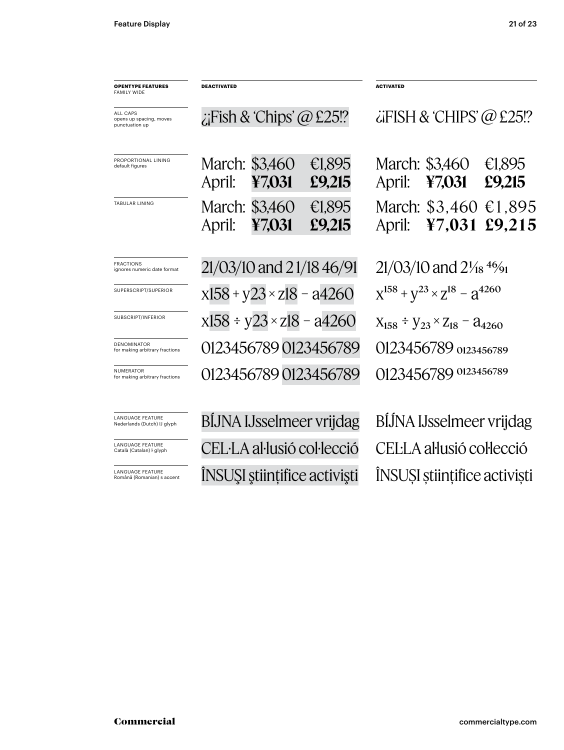| <b>OPENTYPE FEATURES</b><br><b>FAMILY WIDE</b>         | <b>DEACTIVATED</b>                 |        |                              | <b>ACTIVATED</b>                                             |                          |                  |
|--------------------------------------------------------|------------------------------------|--------|------------------------------|--------------------------------------------------------------|--------------------------|------------------|
| ALL CAPS<br>opens up spacing, moves<br>punctuation up  | $i$ Fish & 'Chips' @ £25!?         |        |                              | $\ddot{\alpha}$ FISH & CHIPS' @ £25!?                        |                          |                  |
| PROPORTIONAL LINING<br>default figures                 | March: \$3,460<br>April:           | ¥7,031 | €1,895<br>£9,215             | April:                                                       | March: \$3,460<br>47,031 | €1,895<br>£9,215 |
| TABULAR LINING                                         | March: \$3,460<br>April:           | ¥7,031 | €1,895<br>£9,215             | April:                                                       | March: \$3,460<br>47,031 | €1,895<br>£9,215 |
| <b>FRACTIONS</b><br>ignores numeric date format        | 21/03/10 and 21/18 46/91           |        |                              | $21/03/10$ and $2\frac{1}{18}$ <sup>46</sup> / <sub>91</sub> |                          |                  |
| SUPERSCRIPT/SUPERIOR                                   | $x158 + y23 \times z18 - a4260$    |        |                              | $X^{158} + Y^{23} \times Z^{18} - Z^{4260}$                  |                          |                  |
| SUBSCRIPT/INFERIOR                                     | $x158 \div y23 \times z18 - a4260$ |        |                              | $X_{158} \div Y_{23} \times Z_{18} = 24260$                  |                          |                  |
| <b>DENOMINATOR</b><br>for making arbitrary fractions   |                                    |        | 01234567890123456789         | 0123456789 0123456789                                        |                          |                  |
| <b>NUMERATOR</b><br>for making arbitrary fractions     |                                    |        | 01234567890123456789         | 0123456789 0123456789                                        |                          |                  |
| <b>LANGUAGE FEATURE</b><br>Nederlands (Dutch) IJ glyph | <b>BIJNA IJsselmeer vrijdag</b>    |        |                              | BIJNA IJsselmeer vrijdag                                     |                          |                  |
| <b>LANGUAGE FEATURE</b><br>Català (Catalan) I glyph    |                                    |        | CEL·LA al·lusió col·lecció   | CEL·LA al·lusió col·lecció                                   |                          |                  |
| LANGUAGE FEATURE<br>Română (Romanian) s accent         |                                    |        | ÎNSUȘI științifice activiști | ÎNSUȘI științifice activiști                                 |                          |                  |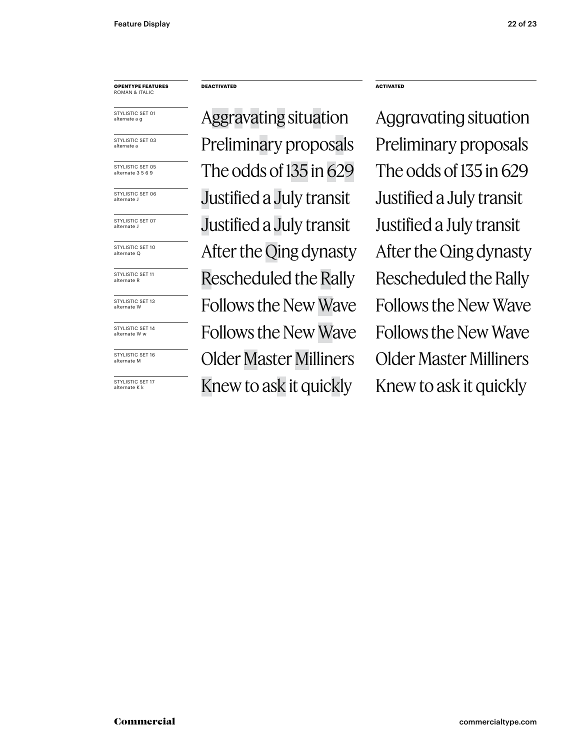#### **OPENTYPE FEATURES** ROMAN & ITALIC

STYLISTIC SET 01 alternate a g

STYLISTIC SET 03 alternate a

STYLISTIC SET 05 alternate 3 5 6 9

STYLISTIC SET 06 alternate J

STYLISTIC SET 07 alternate J

STYLISTIC SET 10 alternate Q

STYLISTIC SET 11 alternate R

STYLISTIC SET 13 alternate W

STYLISTIC SET 14 alternate W w

STYLISTIC SET 16 alternate M

STYLISTIC SFT 17 alternate K k

#### **DEACTIVATED ACTIVATED**

Aggravating situation Aggravating situation Preliminary proposals Preliminary proposals The odds of  $135$  in  $629$  The odds of  $135$  in  $629$ Justified a July transit Justified a July transit Justified a July transit Justified a July transit After the Qing dynasty After the Qing dynasty Rescheduled the Rally Rescheduled the Rally Follows the New Wave Follows the New Wave Follows the New Wave Follows the New Wave Older Master Milliners Older Master Milliners Knew to ask it quickly Knew to ask it quickly